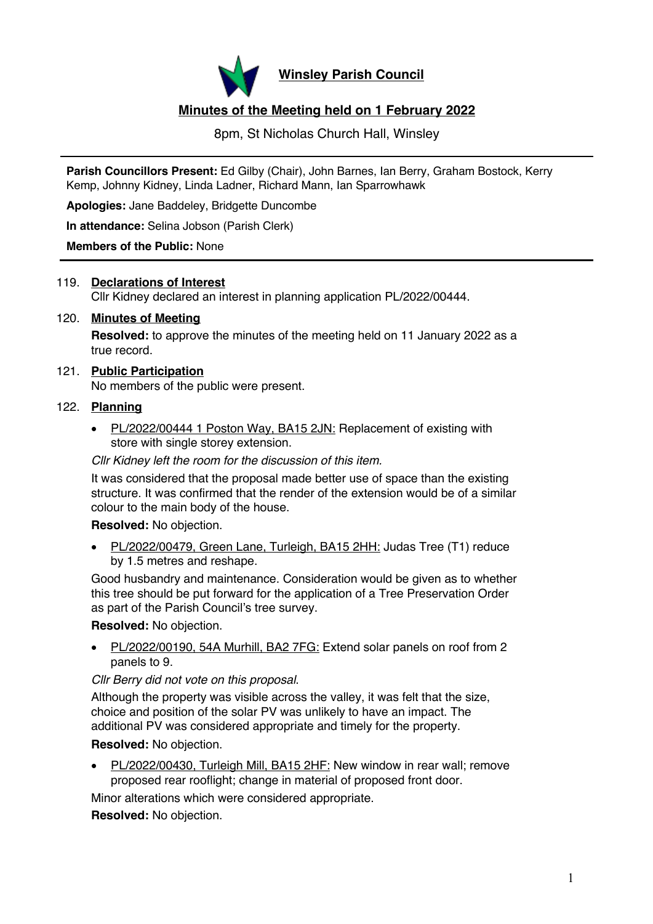

**Winsley Parish Council**

# **Minutes of the Meeting held on 1 February 2022**

8pm, St Nicholas Church Hall, Winsley

**Parish Councillors Present:** Ed Gilby (Chair), John Barnes, Ian Berry, Graham Bostock, Kerry Kemp, Johnny Kidney, Linda Ladner, Richard Mann, Ian Sparrowhawk

**Apologies:** Jane Baddeley, Bridgette Duncombe

**In attendance:** Selina Jobson (Parish Clerk)

#### **Members of the Public:** None

## 119. **Declarations of Interest** Cllr Kidney declared an interest in planning application PL/2022/00444.

### 120. **Minutes of Meeting Resolved:** to approve the minutes of the meeting held on 11 January 2022 as a true record.

# 121. **Public Participation**

No members of the public were present.

# 122. **Planning**

• PL/2022/00444 1 Poston Way, BA15 2JN: Replacement of existing with store with single storey extension.

#### *Cllr Kidney left the room for the discussion of this item.*

It was considered that the proposal made better use of space than the existing structure. It was confirmed that the render of the extension would be of a similar colour to the main body of the house.

**Resolved:** No objection.

• PL/2022/00479, Green Lane, Turleigh, BA15 2HH: Judas Tree (T1) reduce by 1.5 metres and reshape.

Good husbandry and maintenance. Consideration would be given as to whether this tree should be put forward for the application of a Tree Preservation Order as part of the Parish Council's tree survey.

**Resolved:** No objection.

• PL/2022/00190, 54A Murhill, BA2 7FG: Extend solar panels on roof from 2 panels to 9.

*Cllr Berry did not vote on this proposal*.

Although the property was visible across the valley, it was felt that the size, choice and position of the solar PV was unlikely to have an impact. The additional PV was considered appropriate and timely for the property.

**Resolved:** No objection.

• PL/2022/00430, Turleigh Mill, BA15 2HF: New window in rear wall; remove proposed rear rooflight; change in material of proposed front door.

Minor alterations which were considered appropriate.

**Resolved:** No objection.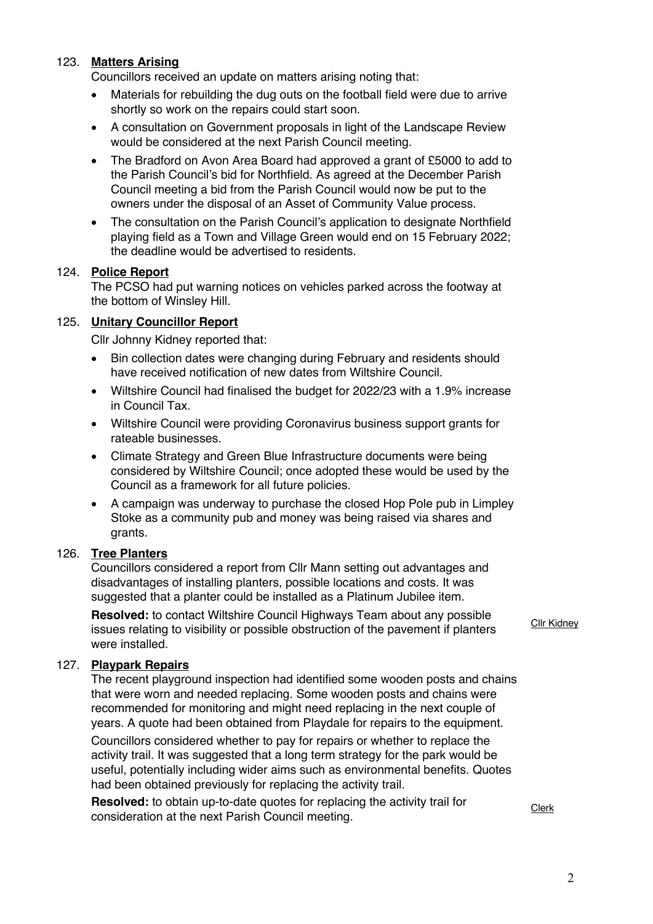## 123. **Matters Arising**

Councillors received an update on matters arising noting that:

- Materials for rebuilding the dug outs on the football field were due to arrive shortly so work on the repairs could start soon.
- A consultation on Government proposals in light of the Landscape Review would be considered at the next Parish Council meeting.
- The Bradford on Avon Area Board had approved a grant of £5000 to add to the Parish Council's bid for Northfield. As agreed at the December Parish Council meeting a bid from the Parish Council would now be put to the owners under the disposal of an Asset of Community Value process.
- The consultation on the Parish Council's application to designate Northfield playing field as a Town and Village Green would end on 15 February 2022; the deadline would be advertised to residents.

### 124. **Police Report**

The PCSO had put warning notices on vehicles parked across the footway at the bottom of Winsley Hill.

### 125. **Unitary Councillor Report**

Cllr Johnny Kidney reported that:

- Bin collection dates were changing during February and residents should have received notification of new dates from Wiltshire Council.
- Wiltshire Council had finalised the budget for 2022/23 with a 1.9% increase in Council Tax.
- Wiltshire Council were providing Coronavirus business support grants for rateable businesses.
- Climate Strategy and Green Blue Infrastructure documents were being considered by Wiltshire Council; once adopted these would be used by the Council as a framework for all future policies.
- A campaign was underway to purchase the closed Hop Pole pub in Limpley Stoke as a community pub and money was being raised via shares and grants.

#### 126. **Tree Planters**

Councillors considered a report from Cllr Mann setting out advantages and disadvantages of installing planters, possible locations and costs. It was suggested that a planter could be installed as a Platinum Jubilee item.

**Resolved:** to contact Wiltshire Council Highways Team about any possible issues relating to visibility or possible obstruction of the pavement if planters were installed.

#### 127. **Playpark Repairs**

The recent playground inspection had identified some wooden posts and chains that were worn and needed replacing. Some wooden posts and chains were recommended for monitoring and might need replacing in the next couple of years. A quote had been obtained from Playdale for repairs to the equipment. Councillors considered whether to pay for repairs or whether to replace the activity trail. It was suggested that a long term strategy for the park would be useful, potentially including wider aims such as environmental benefits. Quotes had been obtained previously for replacing the activity trail.

**Resolved:** to obtain up-to-date quotes for replacing the activity trail for consideration at the next Parish Council meeting.

Cllr Kidney

Clerk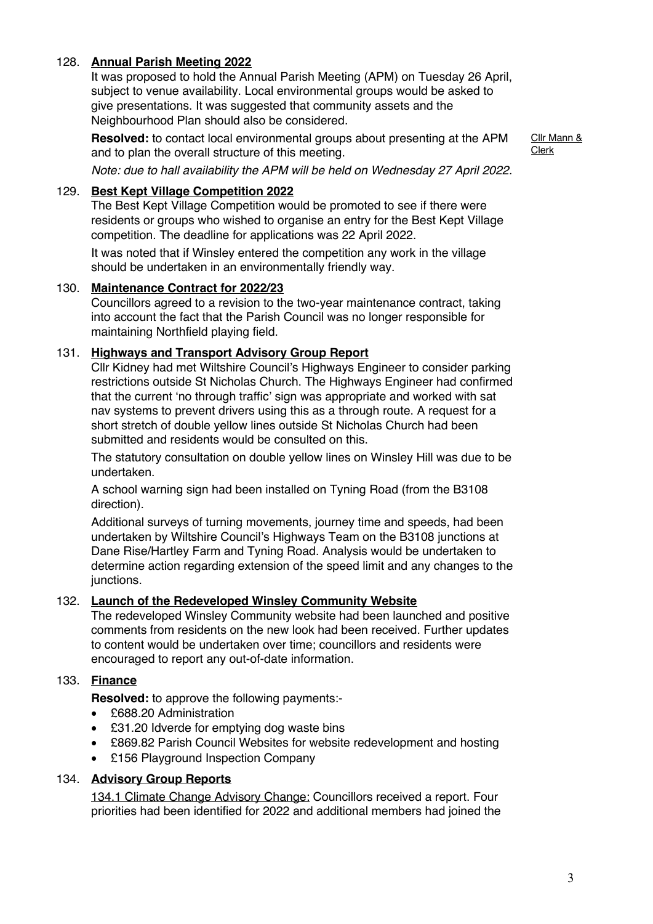# 128. **Annual Parish Meeting 2022**

It was proposed to hold the Annual Parish Meeting (APM) on Tuesday 26 April, subject to venue availability. Local environmental groups would be asked to give presentations. It was suggested that community assets and the Neighbourhood Plan should also be considered.

**Resolved:** to contact local environmental groups about presenting at the APM and to plan the overall structure of this meeting.

Cllr Mann & Clerk

*Note: due to hall availability the APM will be held on Wednesday 27 April 2022.* 

## 129. **Best Kept Village Competition 2022**

The Best Kept Village Competition would be promoted to see if there were residents or groups who wished to organise an entry for the Best Kept Village competition. The deadline for applications was 22 April 2022.

It was noted that if Winsley entered the competition any work in the village should be undertaken in an environmentally friendly way.

# 130. **Maintenance Contract for 2022/23**

Councillors agreed to a revision to the two-year maintenance contract, taking into account the fact that the Parish Council was no longer responsible for maintaining Northfield playing field.

# 131. **Highways and Transport Advisory Group Report**

Cllr Kidney had met Wiltshire Council's Highways Engineer to consider parking restrictions outside St Nicholas Church. The Highways Engineer had confirmed that the current 'no through traffic' sign was appropriate and worked with sat nav systems to prevent drivers using this as a through route. A request for a short stretch of double yellow lines outside St Nicholas Church had been submitted and residents would be consulted on this.

The statutory consultation on double yellow lines on Winsley Hill was due to be undertaken.

A school warning sign had been installed on Tyning Road (from the B3108 direction).

Additional surveys of turning movements, journey time and speeds, had been undertaken by Wiltshire Council's Highways Team on the B3108 junctions at Dane Rise/Hartley Farm and Tyning Road. Analysis would be undertaken to determine action regarding extension of the speed limit and any changes to the junctions.

## 132. **Launch of the Redeveloped Winsley Community Website**

The redeveloped Winsley Community website had been launched and positive comments from residents on the new look had been received. Further updates to content would be undertaken over time; councillors and residents were encouraged to report any out-of-date information.

# 133. **Finance**

**Resolved:** to approve the following payments:-

- £688.20 Administration
- £31.20 Idverde for emptying dog waste bins
- £869.82 Parish Council Websites for website redevelopment and hosting
- £156 Playground Inspection Company

# 134. **Advisory Group Reports**

134.1 Climate Change Advisory Change: Councillors received a report. Four priorities had been identified for 2022 and additional members had joined the